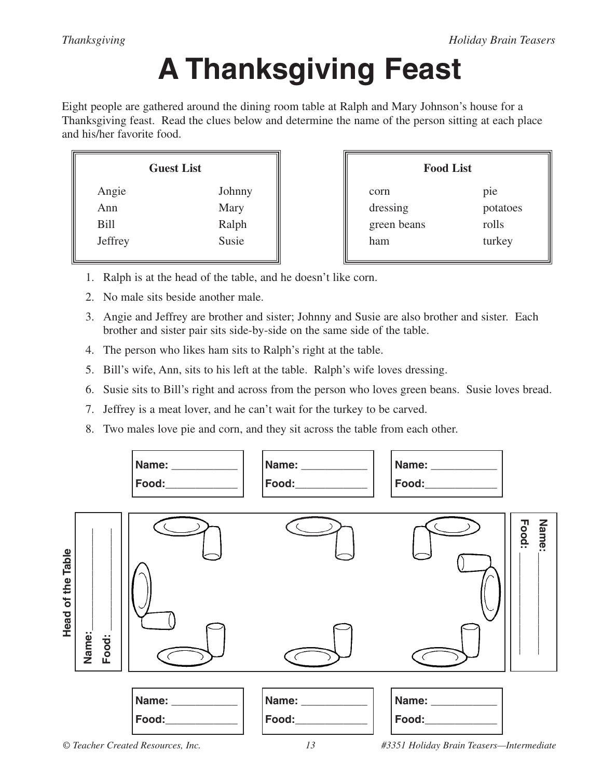## **A Thanksgiving Feast**

Eight people are gathered around the dining room table at Ralph and Mary Johnson's house for a Thanksgiving feast. Read the clues below and determine the name of the person sitting at each place and his/her favorite food.

| <b>Guest List</b> |  | <b>Food List</b> |          |
|-------------------|--|------------------|----------|
| Johnny            |  | corn             | pie      |
| Mary              |  | dressing         | potatoes |
| Ralph             |  | green beans      | rolls    |
| Susie             |  | ham              | turkey   |
|                   |  |                  |          |

- 1. Ralph is at the head of the table, and he doesn't like corn.
- 2. No male sits beside another male.
- 3. Angie and Jeffrey are brother and sister; Johnny and Susie are also brother and sister. Each brother and sister pair sits side-by-side on the same side of the table.
- 4. The person who likes ham sits to Ralph's right at the table.
- 5. Bill's wife, Ann, sits to his left at the table. Ralph's wife loves dressing.
- 6. Susie sits to Bill's right and across from the person who loves green beans. Susie loves bread.
- 7. Jeffrey is a meat lover, and he can't wait for the turkey to be carved.
- 8. Two males love pie and corn, and they sit across the table from each other.